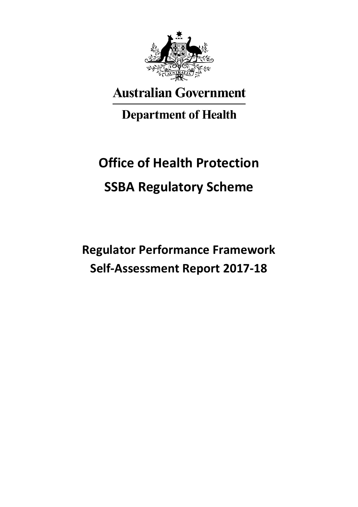

# **Australian Government**

# **Department of Health**

# **Office of Health Protection SSBA Regulatory Scheme**

**Regulator Performance Framework Self-Assessment Report 2017-18**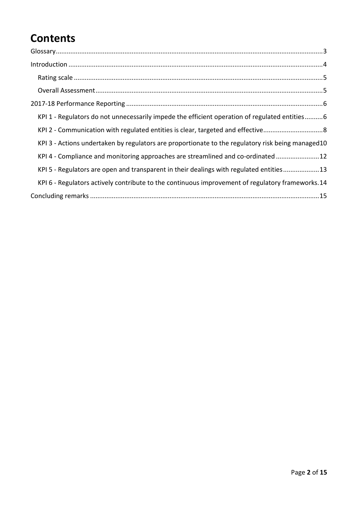### **Contents**

| $\label{lem:1} \mbox{Introduction} \,\, \ldots \,\, \ldots \,\, \ldots \,\, \ldots \,\, \ldots \,\, \ldots \,\, \ldots \,\, \ldots \,\, \ldots \,\, \ldots \,\, \ldots \,\, \ldots \,\, \ldots \,\, \ldots \,\, \ldots \,\, \ldots \,\, \ldots \,\, \ldots \,\, \ldots \,\, \ldots \,\, \ldots \,\, \ldots \,\, \ldots \,\, \ldots \,\, \ldots \,\, \ldots \,\, \ldots \,\, \ldots \,\, \ldots \,\, \ldots \,\, \ldots \,\, \ldots \,\, \ldots \,\, \ldots \,\,$ |
|------------------------------------------------------------------------------------------------------------------------------------------------------------------------------------------------------------------------------------------------------------------------------------------------------------------------------------------------------------------------------------------------------------------------------------------------------------------|
|                                                                                                                                                                                                                                                                                                                                                                                                                                                                  |
|                                                                                                                                                                                                                                                                                                                                                                                                                                                                  |
|                                                                                                                                                                                                                                                                                                                                                                                                                                                                  |
| KPI 1 - Regulators do not unnecessarily impede the efficient operation of regulated entities 6                                                                                                                                                                                                                                                                                                                                                                   |
| KPI 2 - Communication with regulated entities is clear, targeted and effective8                                                                                                                                                                                                                                                                                                                                                                                  |
| KPI 3 - Actions undertaken by regulators are proportionate to the regulatory risk being managed10                                                                                                                                                                                                                                                                                                                                                                |
| KPI 4 - Compliance and monitoring approaches are streamlined and co-ordinated12                                                                                                                                                                                                                                                                                                                                                                                  |
| KPI 5 - Regulators are open and transparent in their dealings with regulated entities13                                                                                                                                                                                                                                                                                                                                                                          |
| KPI 6 - Regulators actively contribute to the continuous improvement of regulatory frameworks. 14                                                                                                                                                                                                                                                                                                                                                                |
|                                                                                                                                                                                                                                                                                                                                                                                                                                                                  |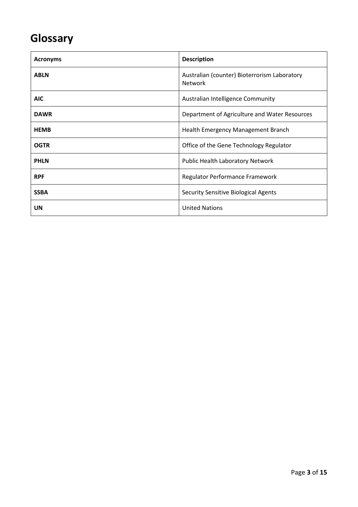## <span id="page-2-0"></span>**Glossary**

| <b>Acronyms</b> | <b>Description</b>                                             |
|-----------------|----------------------------------------------------------------|
| <b>ABLN</b>     | Australian (counter) Bioterrorism Laboratory<br><b>Network</b> |
| <b>AIC</b>      | Australian Intelligence Community                              |
| <b>DAWR</b>     | Department of Agriculture and Water Resources                  |
| <b>HEMB</b>     | Health Emergency Management Branch                             |
| <b>OGTR</b>     | Office of the Gene Technology Regulator                        |
| <b>PHLN</b>     | Public Health Laboratory Network                               |
| <b>RPF</b>      | Regulator Performance Framework                                |
| <b>SSBA</b>     | <b>Security Sensitive Biological Agents</b>                    |
| UN              | <b>United Nations</b>                                          |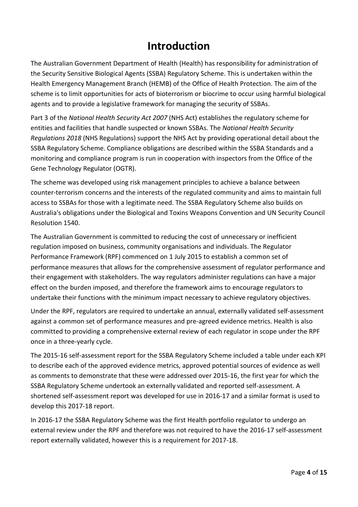### **Introduction**

<span id="page-3-0"></span>The Australian Government Department of Health (Health) has responsibility for administration of the Security Sensitive Biological Agents (SSBA) Regulatory Scheme. This is undertaken within the Health Emergency Management Branch (HEMB) of the Office of Health Protection. The aim of the scheme is to limit opportunities for acts of bioterrorism or biocrime to occur using harmful biological agents and to provide a legislative framework for managing the security of SSBAs.

Part 3 of the *National Health Security Act 2007* (NHS Act) establishes the regulatory scheme for entities and facilities that handle suspected or known SSBAs. The *National Health Security Regulations 2018* (NHS Regulations) support the NHS Act by providing operational detail about the SSBA Regulatory Scheme. Compliance obligations are described within the SSBA Standards and a monitoring and compliance program is run in cooperation with inspectors from the Office of the Gene Technology Regulator (OGTR).

The scheme was developed using risk management principles to achieve a balance between counter-terrorism concerns and the interests of the regulated community and aims to maintain full access to SSBAs for those with a legitimate need. The SSBA Regulatory Scheme also builds on Australia's obligations under the Biological and Toxins Weapons Convention and UN Security Council Resolution 1540.

The Australian Government is committed to reducing the cost of unnecessary or inefficient regulation imposed on business, community organisations and individuals. The Regulator Performance Framework (RPF) commenced on 1 July 2015 to establish a common set of performance measures that allows for the comprehensive assessment of regulator performance and their engagement with stakeholders. The way regulators administer regulations can have a major effect on the burden imposed, and therefore the framework aims to encourage regulators to undertake their functions with the minimum impact necessary to achieve regulatory objectives.

Under the RPF, regulators are required to undertake an annual, externally validated self-assessment against a common set of performance measures and pre-agreed evidence metrics. Health is also committed to providing a comprehensive external review of each regulator in scope under the RPF once in a three-yearly cycle.

The 2015-16 self-assessment report for the SSBA Regulatory Scheme included a table under each KPI to describe each of the approved evidence metrics, approved potential sources of evidence as well as comments to demonstrate that these were addressed over 2015-16, the first year for which the SSBA Regulatory Scheme undertook an externally validated and reported self-assessment. A shortened self-assessment report was developed for use in 2016-17 and a similar format is used to develop this 2017-18 report.

In 2016-17 the SSBA Regulatory Scheme was the first Health portfolio regulator to undergo an external review under the RPF and therefore was not required to have the 2016-17 self-assessment report externally validated, however this is a requirement for 2017-18.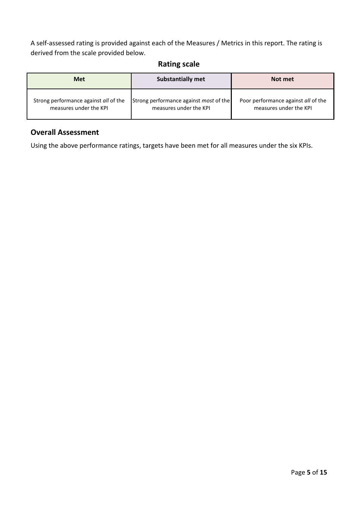A self-assessed rating is provided against each of the Measures / Metrics in this report. The rating is derived from the scale provided below.

#### **Rating scale**

<span id="page-4-0"></span>

| <b>Met</b>                            | <b>Substantially met</b>                      | Not met                             |
|---------------------------------------|-----------------------------------------------|-------------------------------------|
| Strong performance against all of the | Strong performance against <i>most</i> of the | Poor performance against all of the |
| measures under the KPI                | measures under the KPI                        | measures under the KPI              |

#### <span id="page-4-1"></span>**Overall Assessment**

Using the above performance ratings, targets have been met for all measures under the six KPIs.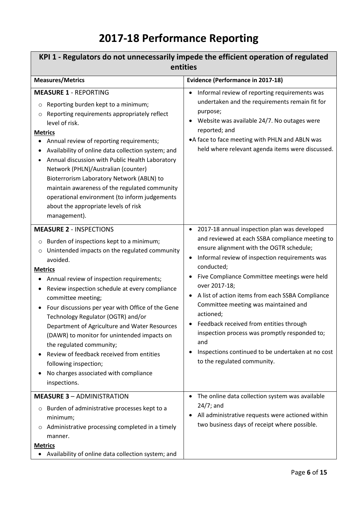# **2017-18 Performance Reporting**

<span id="page-5-1"></span><span id="page-5-0"></span>

| KPI 1 - Regulators do not unnecessarily impede the efficient operation of regulated<br>entities                                                                                                                                                                                                                                                                                                                                                                                                                                                                                                                                                            |                                                                                                                                                                                                                                                                                                                                                                                                                                                                                                                                                                                                        |  |
|------------------------------------------------------------------------------------------------------------------------------------------------------------------------------------------------------------------------------------------------------------------------------------------------------------------------------------------------------------------------------------------------------------------------------------------------------------------------------------------------------------------------------------------------------------------------------------------------------------------------------------------------------------|--------------------------------------------------------------------------------------------------------------------------------------------------------------------------------------------------------------------------------------------------------------------------------------------------------------------------------------------------------------------------------------------------------------------------------------------------------------------------------------------------------------------------------------------------------------------------------------------------------|--|
| <b>Measures/Metrics</b>                                                                                                                                                                                                                                                                                                                                                                                                                                                                                                                                                                                                                                    | <b>Evidence (Performance in 2017-18)</b>                                                                                                                                                                                                                                                                                                                                                                                                                                                                                                                                                               |  |
| <b>MEASURE 1 - REPORTING</b><br>Reporting burden kept to a minimum;<br>$\circ$<br>Reporting requirements appropriately reflect<br>$\circ$<br>level of risk.<br><b>Metrics</b><br>Annual review of reporting requirements;<br>Availability of online data collection system; and<br>Annual discussion with Public Health Laboratory<br>Network (PHLN)/Australian (counter)<br>Bioterrorism Laboratory Network (ABLN) to<br>maintain awareness of the regulated community<br>operational environment (to inform judgements<br>about the appropriate levels of risk<br>management).                                                                           | Informal review of reporting requirements was<br>$\bullet$<br>undertaken and the requirements remain fit for<br>purpose;<br>Website was available 24/7. No outages were<br>reported; and<br>• A face to face meeting with PHLN and ABLN was<br>held where relevant agenda items were discussed.                                                                                                                                                                                                                                                                                                        |  |
| <b>MEASURE 2 - INSPECTIONS</b><br>Burden of inspections kept to a minimum;<br>$\circ$<br>Unintended impacts on the regulated community<br>$\circ$<br>avoided.<br><b>Metrics</b><br>Annual review of inspection requirements;<br>Review inspection schedule at every compliance<br>committee meeting;<br>Four discussions per year with Office of the Gene<br>Technology Regulator (OGTR) and/or<br>Department of Agriculture and Water Resources<br>(DAWR) to monitor for unintended impacts on<br>the regulated community;<br>Review of feedback received from entities<br>following inspection;<br>No charges associated with compliance<br>inspections. | 2017-18 annual inspection plan was developed<br>$\bullet$<br>and reviewed at each SSBA compliance meeting to<br>ensure alignment with the OGTR schedule;<br>Informal review of inspection requirements was<br>$\bullet$<br>conducted;<br>Five Compliance Committee meetings were held<br>over 2017-18;<br>A list of action items from each SSBA Compliance<br>Committee meeting was maintained and<br>actioned;<br>Feedback received from entities through<br>inspection process was promptly responded to;<br>and<br>Inspections continued to be undertaken at no cost<br>to the regulated community. |  |
| <b>MEASURE 3 - ADMINISTRATION</b><br>Burden of administrative processes kept to a<br>$\circ$<br>minimum;<br>Administrative processing completed in a timely<br>$\circ$<br>manner.<br><b>Metrics</b><br>Availability of online data collection system; and<br>٠                                                                                                                                                                                                                                                                                                                                                                                             | The online data collection system was available<br>$\bullet$<br>$24/7$ ; and<br>All administrative requests were actioned within<br>two business days of receipt where possible.                                                                                                                                                                                                                                                                                                                                                                                                                       |  |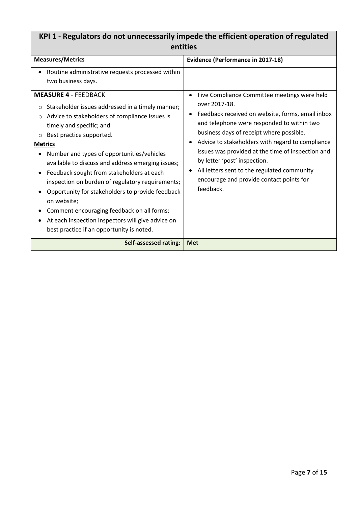### **KPI 1 - Regulators do not unnecessarily impede the efficient operation of regulated entities**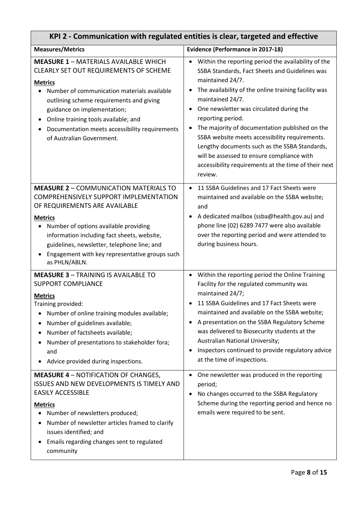<span id="page-7-0"></span>

| KPI 2 - Communication with regulated entities is clear, targeted and effective                                                                                                                                                                                                                                                                                                 |                                                                                                                                                                                                                                                                                                                                                                                                                                                                                                                                              |  |
|--------------------------------------------------------------------------------------------------------------------------------------------------------------------------------------------------------------------------------------------------------------------------------------------------------------------------------------------------------------------------------|----------------------------------------------------------------------------------------------------------------------------------------------------------------------------------------------------------------------------------------------------------------------------------------------------------------------------------------------------------------------------------------------------------------------------------------------------------------------------------------------------------------------------------------------|--|
| <b>Measures/Metrics</b>                                                                                                                                                                                                                                                                                                                                                        | <b>Evidence (Performance in 2017-18)</b>                                                                                                                                                                                                                                                                                                                                                                                                                                                                                                     |  |
| <b>MEASURE 1 - MATERIALS AVAILABLE WHICH</b><br>CLEARLY SET OUT REQUIREMENTS OF SCHEME<br><b>Metrics</b><br>Number of communication materials available<br>outlining scheme requirements and giving<br>guidance on implementation;<br>Online training tools available; and<br>$\bullet$<br>Documentation meets accessibility requirements<br>٠<br>of Australian Government.    | Within the reporting period the availability of the<br>SSBA Standards, Fact Sheets and Guidelines was<br>maintained 24/7.<br>The availability of the online training facility was<br>maintained 24/7.<br>One newsletter was circulated during the<br>reporting period.<br>The majority of documentation published on the<br>SSBA website meets accessibility requirements.<br>Lengthy documents such as the SSBA Standards,<br>will be assessed to ensure compliance with<br>accessibility requirements at the time of their next<br>review. |  |
| <b>MEASURE 2 - COMMUNICATION MATERIALS TO</b><br>COMPREHENSIVELY SUPPORT IMPLEMENTATION<br>OF REQUIREMENTS ARE AVAILABLE<br><b>Metrics</b><br>Number of options available providing<br>$\bullet$<br>information including fact sheets, website,<br>guidelines, newsletter, telephone line; and<br>Engagement with key representative groups such<br>$\bullet$<br>as PHLN/ABLN. | 11 SSBA Guidelines and 17 Fact Sheets were<br>maintained and available on the SSBA website;<br>and<br>A dedicated mailbox (ssba@health.gov.au) and<br>phone line (02) 6289 7477 were also available<br>over the reporting period and were attended to<br>during business hours.                                                                                                                                                                                                                                                              |  |
| <b>MEASURE 3 - TRAINING IS AVAILABLE TO</b><br><b>SUPPORT COMPLIANCE</b><br><b>Metrics</b><br>Training provided:<br>Number of online training modules available;<br>Number of guidelines available;<br>٠<br>Number of factsheets available;<br>Number of presentations to stakeholder fora;<br>and<br>Advice provided during inspections.                                      | Within the reporting period the Online Training<br>$\bullet$<br>Facility for the regulated community was<br>maintained 24/7;<br>11 SSBA Guidelines and 17 Fact Sheets were<br>maintained and available on the SSBA website;<br>A presentation on the SSBA Regulatory Scheme<br>was delivered to Biosecurity students at the<br>Australian National University;<br>Inspectors continued to provide regulatory advice<br>at the time of inspections.                                                                                           |  |
| <b>MEASURE 4 - NOTIFICATION OF CHANGES,</b><br>ISSUES AND NEW DEVELOPMENTS IS TIMELY AND<br><b>EASILY ACCESSIBLE</b><br><b>Metrics</b><br>Number of newsletters produced;<br>Number of newsletter articles framed to clarify<br>٠<br>issues identified; and<br>Emails regarding changes sent to regulated<br>community                                                         | One newsletter was produced in the reporting<br>$\bullet$<br>period;<br>No changes occurred to the SSBA Regulatory<br>Scheme during the reporting period and hence no<br>emails were required to be sent.                                                                                                                                                                                                                                                                                                                                    |  |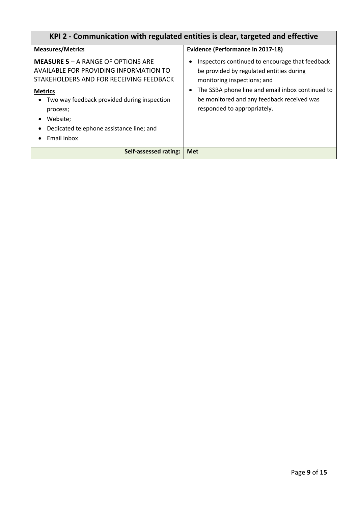| KPI 2 - Communication with regulated entities is clear, targeted and effective                                                                                                                                                                                                     |                                                                                                                                                                                                                                                             |
|------------------------------------------------------------------------------------------------------------------------------------------------------------------------------------------------------------------------------------------------------------------------------------|-------------------------------------------------------------------------------------------------------------------------------------------------------------------------------------------------------------------------------------------------------------|
| <b>Measures/Metrics</b>                                                                                                                                                                                                                                                            | <b>Evidence (Performance in 2017-18)</b>                                                                                                                                                                                                                    |
| <b>MEASURE 5 – A RANGE OF OPTIONS ARE</b><br>AVAILABLE FOR PROVIDING INFORMATION TO<br>STAKEHOLDERS AND FOR RECEIVING FEEDBACK<br><b>Metrics</b><br>Two way feedback provided during inspection<br>process;<br>Website;<br>Dedicated telephone assistance line; and<br>Email inbox | Inspectors continued to encourage that feedback<br>be provided by regulated entities during<br>monitoring inspections; and<br>The SSBA phone line and email inbox continued to<br>be monitored and any feedback received was<br>responded to appropriately. |
| Self-assessed rating:                                                                                                                                                                                                                                                              | <b>Met</b>                                                                                                                                                                                                                                                  |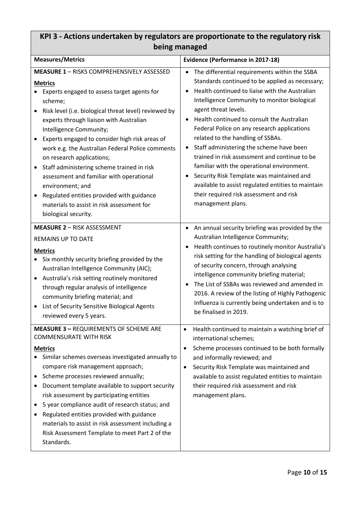### <span id="page-9-0"></span>**KPI 3 - Actions undertaken by regulators are proportionate to the regulatory risk being managed**

| <b>Measures/Metrics</b>                                                                                                                                                                                                                                                                                                                                                                                                                                                                                                                                                                                                                       | <b>Evidence (Performance in 2017-18)</b>                                                                                                                                                                                                                                                                                                                                                                                                                                                                                                                                                                                                                                                |
|-----------------------------------------------------------------------------------------------------------------------------------------------------------------------------------------------------------------------------------------------------------------------------------------------------------------------------------------------------------------------------------------------------------------------------------------------------------------------------------------------------------------------------------------------------------------------------------------------------------------------------------------------|-----------------------------------------------------------------------------------------------------------------------------------------------------------------------------------------------------------------------------------------------------------------------------------------------------------------------------------------------------------------------------------------------------------------------------------------------------------------------------------------------------------------------------------------------------------------------------------------------------------------------------------------------------------------------------------------|
| <b>MEASURE 1 - RISKS COMPREHENSIVELY ASSESSED</b><br><b>Metrics</b><br>Experts engaged to assess target agents for<br>scheme;<br>Risk level (i.e. biological threat level) reviewed by<br>experts through liaison with Australian<br>Intelligence Community;<br>Experts engaged to consider high risk areas of<br>work e.g. the Australian Federal Police comments<br>on research applications;<br>Staff administering scheme trained in risk<br>$\bullet$<br>assessment and familiar with operational<br>environment; and<br>Regulated entities provided with guidance<br>materials to assist in risk assessment for<br>biological security. | The differential requirements within the SSBA<br>$\bullet$<br>Standards continued to be applied as necessary;<br>Health continued to liaise with the Australian<br>Intelligence Community to monitor biological<br>agent threat levels.<br>Health continued to consult the Australian<br>Federal Police on any research applications<br>related to the handling of SSBAs.<br>Staff administering the scheme have been<br>trained in risk assessment and continue to be<br>familiar with the operational environment.<br>Security Risk Template was maintained and<br>available to assist regulated entities to maintain<br>their required risk assessment and risk<br>management plans. |
| <b>MEASURE 2 - RISK ASSESSMENT</b><br><b>REMAINS UP TO DATE</b><br><b>Metrics</b><br>Six monthly security briefing provided by the<br>Australian Intelligence Community (AIC);<br>Australia's risk setting routinely monitored<br>through regular analysis of intelligence<br>community briefing material; and<br>List of Security Sensitive Biological Agents<br>reviewed every 5 years.                                                                                                                                                                                                                                                     | An annual security briefing was provided by the<br>٠<br>Australian Intelligence Community;<br>Health continues to routinely monitor Australia's<br>risk setting for the handling of biological agents<br>of security concern, through analysing<br>intelligence community briefing material;<br>The List of SSBAs was reviewed and amended in<br>2016. A review of the listing of Highly Pathogenic<br>Influenza is currently being undertaken and is to<br>be finalised in 2019.                                                                                                                                                                                                       |
| <b>MEASURE 3 - REQUIREMENTS OF SCHEME ARE</b><br><b>COMMENSURATE WITH RISK</b><br><b>Metrics</b><br>Similar schemes overseas investigated annually to<br>compare risk management approach;<br>Scheme processes reviewed annually;<br>٠<br>Document template available to support security<br>risk assessment by participating entities<br>5 year compliance audit of research status; and<br>٠<br>Regulated entities provided with guidance<br>materials to assist in risk assessment including a<br>Risk Assessment Template to meet Part 2 of the<br>Standards.                                                                             | Health continued to maintain a watching brief of<br>$\bullet$<br>international schemes;<br>Scheme processes continued to be both formally<br>$\bullet$<br>and informally reviewed; and<br>Security Risk Template was maintained and<br>$\bullet$<br>available to assist regulated entities to maintain<br>their required risk assessment and risk<br>management plans.                                                                                                                                                                                                                                                                                                                  |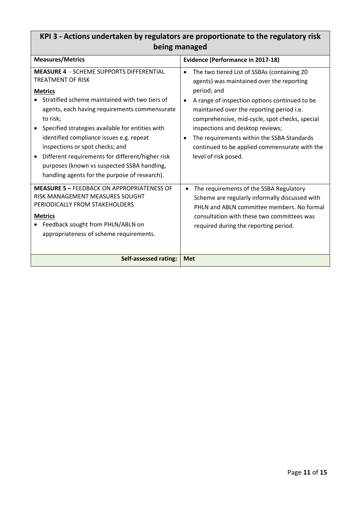| Dellig Hidridgeu                                                                                                                                                                                                                                                                                                                                                                                                                                                                             |                                                                                                                                                                                                                                                                                                                                                                                                                                                           |
|----------------------------------------------------------------------------------------------------------------------------------------------------------------------------------------------------------------------------------------------------------------------------------------------------------------------------------------------------------------------------------------------------------------------------------------------------------------------------------------------|-----------------------------------------------------------------------------------------------------------------------------------------------------------------------------------------------------------------------------------------------------------------------------------------------------------------------------------------------------------------------------------------------------------------------------------------------------------|
| <b>Measures/Metrics</b>                                                                                                                                                                                                                                                                                                                                                                                                                                                                      | <b>Evidence (Performance in 2017-18)</b>                                                                                                                                                                                                                                                                                                                                                                                                                  |
| <b>MEASURE 4 - SCHEME SUPPORTS DIFFERENTIAL</b><br>TREATMENT OF RISK<br><b>Metrics</b><br>Stratified scheme maintained with two tiers of<br>agents, each having requirements commensurate<br>to risk;<br>Specified strategies available for entities with<br>identified compliance issues e.g. repeat<br>inspections or spot checks; and<br>Different requirements for different/higher risk<br>purposes (known vs suspected SSBA handling,<br>handling agents for the purpose of research). | The two tiered List of SSBAs (containing 20<br>$\bullet$<br>agents) was maintained over the reporting<br>period; and<br>A range of inspection options continued to be<br>$\bullet$<br>maintained over the reporting period i.e.<br>comprehensive, mid-cycle, spot checks, special<br>inspections and desktop reviews;<br>The requirements within the SSBA Standards<br>$\bullet$<br>continued to be applied commensurate with the<br>level of risk posed. |
| <b>MEASURE 5 - FEEDBACK ON APPROPRIATENESS OF</b><br>RISK MANAGEMENT MEASURES SOUGHT<br>PERIODICALLY FROM STAKEHOLDERS<br><b>Metrics</b><br>Feedback sought from PHLN/ABLN on<br>appropriateness of scheme requirements.                                                                                                                                                                                                                                                                     | The requirements of the SSBA Regulatory<br>Scheme are regularly informally discussed with<br>PHLN and ABLN committee members. No formal<br>consultation with these two committees was<br>required during the reporting period.                                                                                                                                                                                                                            |
| Self-assessed rating:                                                                                                                                                                                                                                                                                                                                                                                                                                                                        | <b>Met</b>                                                                                                                                                                                                                                                                                                                                                                                                                                                |

### **KPI 3 - Actions undertaken by regulators are proportionate to the regulatory risk being managed**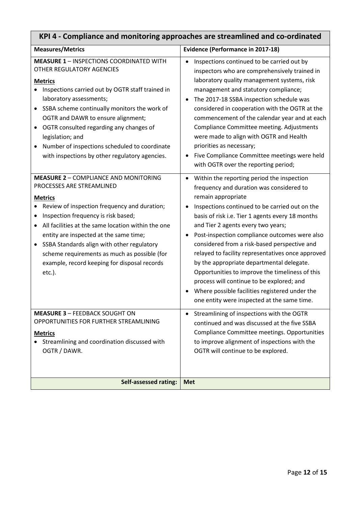| KrT + - Compilance and monitoring approaches are su cannified and co-ordinated                                                                                                                                                                                                                                                                                                                                                                          |                                                                                                                                                                                                                                                                                                                                                                                                                                                                                                                                                                                                                                                              |
|---------------------------------------------------------------------------------------------------------------------------------------------------------------------------------------------------------------------------------------------------------------------------------------------------------------------------------------------------------------------------------------------------------------------------------------------------------|--------------------------------------------------------------------------------------------------------------------------------------------------------------------------------------------------------------------------------------------------------------------------------------------------------------------------------------------------------------------------------------------------------------------------------------------------------------------------------------------------------------------------------------------------------------------------------------------------------------------------------------------------------------|
| <b>Measures/Metrics</b>                                                                                                                                                                                                                                                                                                                                                                                                                                 | <b>Evidence (Performance in 2017-18)</b>                                                                                                                                                                                                                                                                                                                                                                                                                                                                                                                                                                                                                     |
| <b>MEASURE 1 - INSPECTIONS COORDINATED WITH</b><br>OTHER REGULATORY AGENCIES<br><b>Metrics</b><br>Inspections carried out by OGTR staff trained in<br>laboratory assessments;<br>SSBA scheme continually monitors the work of<br>$\bullet$<br>OGTR and DAWR to ensure alignment;<br>OGTR consulted regarding any changes of<br>legislation; and<br>Number of inspections scheduled to coordinate<br>with inspections by other regulatory agencies.      | Inspections continued to be carried out by<br>$\bullet$<br>inspectors who are comprehensively trained in<br>laboratory quality management systems, risk<br>management and statutory compliance;<br>The 2017-18 SSBA inspection schedule was<br>considered in cooperation with the OGTR at the<br>commencement of the calendar year and at each<br>Compliance Committee meeting. Adjustments<br>were made to align with OGTR and Health<br>priorities as necessary;<br>Five Compliance Committee meetings were held<br>with OGTR over the reporting period;                                                                                                   |
| <b>MEASURE 2 - COMPLIANCE AND MONITORING</b><br>PROCESSES ARE STREAMLINED<br><b>Metrics</b><br>Review of inspection frequency and duration;<br>Inspection frequency is risk based;<br>All facilities at the same location within the one<br>entity are inspected at the same time;<br>SSBA Standards align with other regulatory<br>$\bullet$<br>scheme requirements as much as possible (for<br>example, record keeping for disposal records<br>etc.). | Within the reporting period the inspection<br>frequency and duration was considered to<br>remain appropriate<br>Inspections continued to be carried out on the<br>basis of risk i.e. Tier 1 agents every 18 months<br>and Tier 2 agents every two years;<br>Post-inspection compliance outcomes were also<br>considered from a risk-based perspective and<br>relayed to facility representatives once approved<br>by the appropriate departmental delegate.<br>Opportunities to improve the timeliness of this<br>process will continue to be explored; and<br>Where possible facilities registered under the<br>one entity were inspected at the same time. |
| <b>MEASURE 3 - FEEDBACK SOUGHT ON</b><br>OPPORTUNITIES FOR FURTHER STREAMLINING<br><b>Metrics</b><br>Streamlining and coordination discussed with<br>OGTR / DAWR.                                                                                                                                                                                                                                                                                       | Streamlining of inspections with the OGTR<br>٠<br>continued and was discussed at the five SSBA<br>Compliance Committee meetings. Opportunities<br>to improve alignment of inspections with the<br>OGTR will continue to be explored.                                                                                                                                                                                                                                                                                                                                                                                                                         |
| <b>Self-assessed rating:</b>                                                                                                                                                                                                                                                                                                                                                                                                                            | <b>Met</b>                                                                                                                                                                                                                                                                                                                                                                                                                                                                                                                                                                                                                                                   |

### <span id="page-11-0"></span>**KPI 4 - Compliance and monitoring approaches are streamlined and co-ordinated**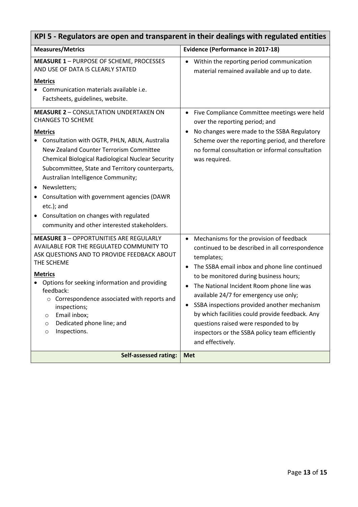<span id="page-12-0"></span>

| KPI 5 - Regulators are open and transparent in their dealings with regulated entities                                                                                                                                                                                                                                                                                                                                                                                                                             |                                                                                                                                                                                                                                                                                                                                                                                                                                                                                                              |  |
|-------------------------------------------------------------------------------------------------------------------------------------------------------------------------------------------------------------------------------------------------------------------------------------------------------------------------------------------------------------------------------------------------------------------------------------------------------------------------------------------------------------------|--------------------------------------------------------------------------------------------------------------------------------------------------------------------------------------------------------------------------------------------------------------------------------------------------------------------------------------------------------------------------------------------------------------------------------------------------------------------------------------------------------------|--|
| <b>Measures/Metrics</b>                                                                                                                                                                                                                                                                                                                                                                                                                                                                                           | <b>Evidence (Performance in 2017-18)</b>                                                                                                                                                                                                                                                                                                                                                                                                                                                                     |  |
| <b>MEASURE 1 - PURPOSE OF SCHEME, PROCESSES</b><br>AND USE OF DATA IS CLEARLY STATED<br><b>Metrics</b><br>Communication materials available i.e.<br>Factsheets, guidelines, website.                                                                                                                                                                                                                                                                                                                              | Within the reporting period communication<br>material remained available and up to date.                                                                                                                                                                                                                                                                                                                                                                                                                     |  |
| <b>MEASURE 2 - CONSULTATION UNDERTAKEN ON</b><br><b>CHANGES TO SCHEME</b><br><b>Metrics</b><br>Consultation with OGTR, PHLN, ABLN, Australia<br>New Zealand Counter Terrorism Committee<br>Chemical Biological Radiological Nuclear Security<br>Subcommittee, State and Territory counterparts,<br>Australian Intelligence Community;<br>Newsletters;<br>٠<br>Consultation with government agencies (DAWR<br>etc.); and<br>Consultation on changes with regulated<br>community and other interested stakeholders. | Five Compliance Committee meetings were held<br>$\bullet$<br>over the reporting period; and<br>No changes were made to the SSBA Regulatory<br>$\bullet$<br>Scheme over the reporting period, and therefore<br>no formal consultation or informal consultation<br>was required.                                                                                                                                                                                                                               |  |
| <b>MEASURE 3 - OPPORTUNITIES ARE REGULARLY</b><br>AVAILABLE FOR THE REGULATED COMMUNITY TO<br>ASK QUESTIONS AND TO PROVIDE FEEDBACK ABOUT<br>THE SCHEME<br><b>Metrics</b><br>Options for seeking information and providing<br>feedback:<br>Correspondence associated with reports and<br>inspections;<br>Email inbox;<br>O<br>Dedicated phone line; and<br>$\circ$<br>Inspections.<br>$\circ$                                                                                                                     | Mechanisms for the provision of feedback<br>continued to be described in all correspondence<br>templates;<br>The SSBA email inbox and phone line continued<br>to be monitored during business hours;<br>The National Incident Room phone line was<br>available 24/7 for emergency use only;<br>SSBA inspections provided another mechanism<br>by which facilities could provide feedback. Any<br>questions raised were responded to by<br>inspectors or the SSBA policy team efficiently<br>and effectively. |  |
| <b>Self-assessed rating:</b>                                                                                                                                                                                                                                                                                                                                                                                                                                                                                      | <b>Met</b>                                                                                                                                                                                                                                                                                                                                                                                                                                                                                                   |  |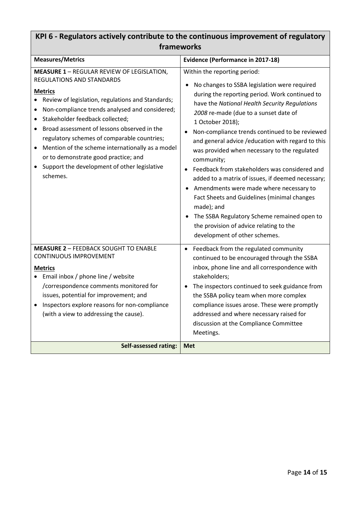### <span id="page-13-0"></span>**KPI 6 - Regulators actively contribute to the continuous improvement of regulatory frameworks**

| <b>Measures/Metrics</b>                                                                                                                                                                                                                                                                                                                                                                                                                                                                                                           | <b>Evidence (Performance in 2017-18)</b>                                                                                                                                                                                                                                                                                                                                                                                                                                                                                                                                                                                                                                                                                                                      |
|-----------------------------------------------------------------------------------------------------------------------------------------------------------------------------------------------------------------------------------------------------------------------------------------------------------------------------------------------------------------------------------------------------------------------------------------------------------------------------------------------------------------------------------|---------------------------------------------------------------------------------------------------------------------------------------------------------------------------------------------------------------------------------------------------------------------------------------------------------------------------------------------------------------------------------------------------------------------------------------------------------------------------------------------------------------------------------------------------------------------------------------------------------------------------------------------------------------------------------------------------------------------------------------------------------------|
| <b>MEASURE 1 - REGULAR REVIEW OF LEGISLATION,</b><br><b>REGULATIONS AND STANDARDS</b><br><b>Metrics</b><br>Review of legislation, regulations and Standards;<br>$\bullet$<br>Non-compliance trends analysed and considered;<br>Stakeholder feedback collected;<br>Broad assessment of lessons observed in the<br>regulatory schemes of comparable countries;<br>Mention of the scheme internationally as a model<br>$\bullet$<br>or to demonstrate good practice; and<br>Support the development of other legislative<br>schemes. | Within the reporting period:<br>No changes to SSBA legislation were required<br>during the reporting period. Work continued to<br>have the National Health Security Regulations<br>2008 re-made (due to a sunset date of<br>1 October 2018);<br>Non-compliance trends continued to be reviewed<br>and general advice / education with regard to this<br>was provided when necessary to the regulated<br>community;<br>• Feedback from stakeholders was considered and<br>added to a matrix of issues, if deemed necessary;<br>Amendments were made where necessary to<br>Fact Sheets and Guidelines (minimal changes<br>made); and<br>The SSBA Regulatory Scheme remained open to<br>the provision of advice relating to the<br>development of other schemes. |
| <b>MEASURE 2 - FEEDBACK SOUGHT TO ENABLE</b><br><b>CONTINUOUS IMPROVEMENT</b><br><b>Metrics</b><br>Email inbox / phone line / website<br>/correspondence comments monitored for<br>issues, potential for improvement; and<br>Inspectors explore reasons for non-compliance<br>(with a view to addressing the cause).                                                                                                                                                                                                              | Feedback from the regulated community<br>$\bullet$<br>continued to be encouraged through the SSBA<br>inbox, phone line and all correspondence with<br>stakeholders;<br>The inspectors continued to seek guidance from<br>$\bullet$<br>the SSBA policy team when more complex<br>compliance issues arose. These were promptly<br>addressed and where necessary raised for<br>discussion at the Compliance Committee<br>Meetings.                                                                                                                                                                                                                                                                                                                               |
| <b>Self-assessed rating:</b>                                                                                                                                                                                                                                                                                                                                                                                                                                                                                                      | <b>Met</b>                                                                                                                                                                                                                                                                                                                                                                                                                                                                                                                                                                                                                                                                                                                                                    |